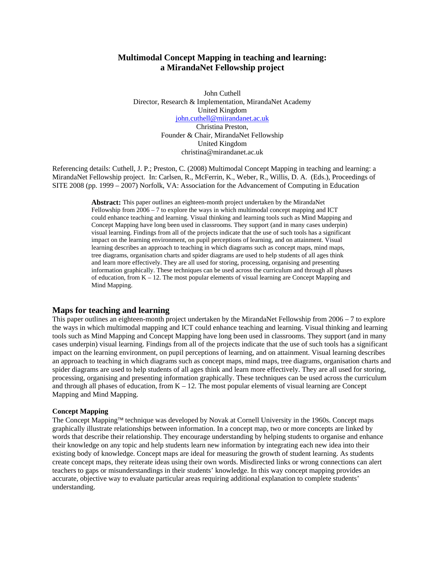# **Multimodal Concept Mapping in teaching and learning: a MirandaNet Fellowship project**

John Cuthell Director, Research & Implementation, MirandaNet Academy United Kingdom [john.cuthell@miirandanet.ac.uk](mailto:john.cuthell@miirandanet.ac.uk) [Christina Preston,](http://www.mirandanet.ac.uk/profiles/profile.php?prof=1) Founder & Chair, MirandaNet Fellowship United Kingdom christina@mirandanet.ac.uk

Referencing details: Cuthell, J. P.; Preston, C. (2008) Multimodal Concept Mapping in teaching and learning: a MirandaNet Fellowship project. In: Carlsen, R., McFerrin, K., Weber, R., Willis, D. A. (Eds.), Proceedings of SITE 2008 (pp. 1999 – 2007) Norfolk, VA: Association for the Advancement of Computing in Education

> **Abstract:** This paper outlines an eighteen-month project undertaken by the MirandaNet Fellowship from 2006 – 7 to explore the ways in which multimodal concept mapping and ICT could enhance teaching and learning. Visual thinking and learning tools such as Mind Mapping and Concept Mapping have long been used in classrooms. They support (and in many cases underpin) visual learning. Findings from all of the projects indicate that the use of such tools has a significant impact on the learning environment, on pupil perceptions of learning, and on attainment. Visual learning describes an approach to teaching in which diagrams such as concept maps, mind maps, tree diagrams, organisation charts and spider diagrams are used to help students of all ages think and learn more effectively. They are all used for storing, processing, organising and presenting information graphically. These techniques can be used across the curriculum and through all phases of education, from  $K - 12$ . The most popular elements of visual learning are Concept Mapping and Mind Mapping.

#### **Maps for teaching and learning**

This paper outlines an eighteen-month project undertaken by the MirandaNet Fellowship from 2006 – 7 to explore the ways in which multimodal mapping and ICT could enhance teaching and learning. Visual thinking and learning tools such as Mind Mapping and Concept Mapping have long been used in classrooms. They support (and in many cases underpin) visual learning. Findings from all of the projects indicate that the use of such tools has a significant impact on the learning environment, on pupil perceptions of learning, and on attainment. Visual learning describes an approach to teaching in which diagrams such as concept maps, mind maps, tree diagrams, organisation charts and spider diagrams are used to help students of all ages think and learn more effectively. They are all used for storing, processing, organising and presenting information graphically. These techniques can be used across the curriculum and through all phases of education, from  $K - 12$ . The most popular elements of visual learning are Concept Mapping and Mind Mapping.

#### **Concept Mapping**

The Concept Mapping <sup>™</sup> technique was developed by Novak at Cornell University in the 1960s. Concept maps graphically illustrate relationships between information. In a concept map, two or more concepts are linked by words that describe their relationship. They encourage understanding by helping students to organise and enhance their knowledge on any topic and help students learn new information by integrating each new idea into their existing body of knowledge. Concept maps are ideal for measuring the growth of student learning. As students create concept maps, they reiterate ideas using their own words. Misdirected links or wrong connections can alert teachers to gaps or misunderstandings in their students' knowledge. In this way concept mapping provides an accurate, objective way to evaluate particular areas requiring additional explanation to complete students' understanding.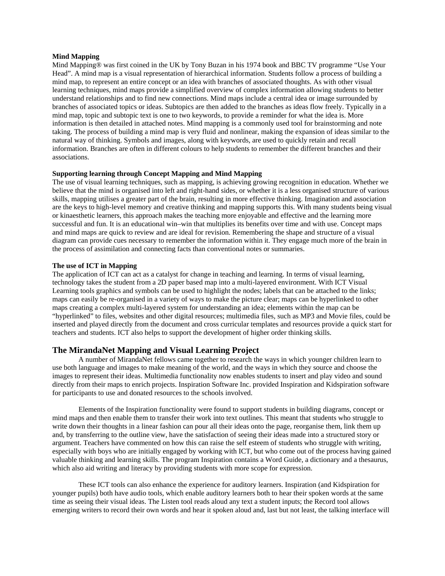## **Mind Mapping**

Mind Mapping® was first coined in the UK by Tony Buzan in his 1974 book and BBC TV programme "Use Your Head". A mind map is a visual representation of hierarchical information. Students follow a process of building a mind map, to represent an entire concept or an idea with branches of associated thoughts. As with other visual learning techniques, mind maps provide a simplified overview of complex information allowing students to better understand relationships and to find new connections. Mind maps include a central idea or image surrounded by branches of associated topics or ideas. Subtopics are then added to the branches as ideas flow freely. Typically in a mind map, topic and subtopic text is one to two keywords, to provide a reminder for what the idea is. More information is then detailed in attached notes. Mind mapping is a commonly used tool for brainstorming and note taking. The process of building a mind map is very fluid and nonlinear, making the expansion of ideas similar to the natural way of thinking. Symbols and images, along with keywords, are used to quickly retain and recall information. Branches are often in different colours to help students to remember the different branches and their associations.

## **Supporting learning through Concept Mapping and Mind Mapping**

The use of visual learning techniques, such as mapping, is achieving growing recognition in education. Whether we believe that the mind is organised into left and right-hand sides, or whether it is a less organised structure of various skills, mapping utilises a greater part of the brain, resulting in more effective thinking. Imagination and association are the keys to high-level memory and creative thinking and mapping supports this. With many students being visual or kinaesthetic learners, this approach makes the teaching more enjoyable and effective and the learning more successful and fun. It is an educational win–win that multiplies its benefits over time and with use. Concept maps and mind maps are quick to review and are ideal for revision. Remembering the shape and structure of a visual diagram can provide cues necessary to remember the information within it. They engage much more of the brain in the process of assimilation and connecting facts than conventional notes or summaries.

#### **The use of ICT in Mapping**

The application of ICT can act as a catalyst for change in teaching and learning. In terms of visual learning, technology takes the student from a 2D paper based map into a multi-layered environment. With ICT Visual Learning tools graphics and symbols can be used to highlight the nodes; labels that can be attached to the links; maps can easily be re-organised in a variety of ways to make the picture clear; maps can be hyperlinked to other maps creating a complex multi-layered system for understanding an idea; elements within the map can be "hyperlinked" to files, websites and other digital resources; multimedia files, such as MP3 and Movie files, could be inserted and played directly from the document and cross curricular templates and resources provide a quick start for teachers and students. ICT also helps to support the development of higher order thinking skills.

## **The MirandaNet Mapping and Visual Learning Project**

A number of MirandaNet fellows came together to research the ways in which younger children learn to use both language and images to make meaning of the world, and the ways in which they source and choose the images to represent their ideas. Multimedia functionality now enables students to insert and play video and sound directly from their maps to enrich projects. Inspiration Software Inc. provided Inspiration and Kidspiration software for participants to use and donated resources to the schools involved.

Elements of the Inspiration functionality were found to support students in building diagrams, concept or mind maps and then enable them to transfer their work into text outlines. This meant that students who struggle to write down their thoughts in a linear fashion can pour all their ideas onto the page, reorganise them, link them up and, by transferring to the outline view, have the satisfaction of seeing their ideas made into a structured story or argument. Teachers have commented on how this can raise the self esteem of students who struggle with writing, especially with boys who are initially engaged by working with ICT, but who come out of the process having gained valuable thinking and learning skills. The program Inspiration contains a Word Guide, a dictionary and a thesaurus, which also aid writing and literacy by providing students with more scope for expression.

These ICT tools can also enhance the experience for auditory learners. Inspiration (and Kidspiration for younger pupils) both have audio tools, which enable auditory learners both to hear their spoken words at the same time as seeing their visual ideas. The Listen tool reads aloud any text a student inputs; the Record tool allows emerging writers to record their own words and hear it spoken aloud and, last but not least, the talking interface will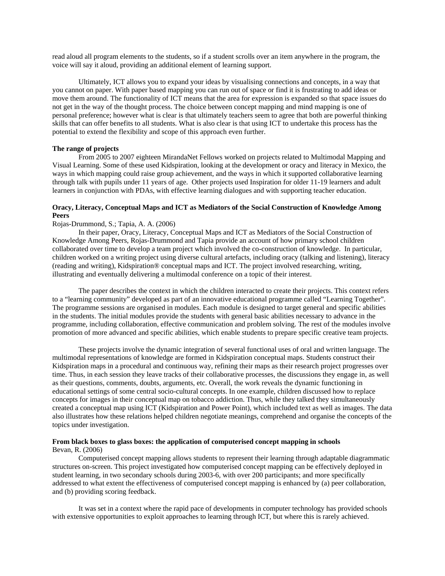read aloud all program elements to the students, so if a student scrolls over an item anywhere in the program, the voice will say it aloud, providing an additional element of learning support.

Ultimately, ICT allows you to expand your ideas by visualising connections and concepts, in a way that you cannot on paper. With paper based mapping you can run out of space or find it is frustrating to add ideas or move them around. The functionality of ICT means that the area for expression is expanded so that space issues do not get in the way of the thought process. The choice between concept mapping and mind mapping is one of personal preference; however what is clear is that ultimately teachers seem to agree that both are powerful thinking skills that can offer benefits to all students. What is also clear is that using ICT to undertake this process has the potential to extend the flexibility and scope of this approach even further.

## **The range of projects**

From 2005 to 2007 eighteen MirandaNet Fellows worked on projects related to Multimodal Mapping and Visual Learning. Some of these used Kidspiration, looking at the development or oracy and literacy in Mexico, the ways in which mapping could raise group achievement, and the ways in which it supported collaborative learning through talk with pupils under 11 years of age. Other projects used Inspiration for older 11-19 learners and adult learners in conjunction with PDAs, with effective learning dialogues and with supporting teacher education.

## **Oracy, Literacy, Conceptual Maps and ICT as Mediators of the Social Construction of Knowledge Among Peers**

## Rojas-Drummond, S.; Tapia, A. A. (2006)

In their paper, Oracy, Literacy, Conceptual Maps and ICT as Mediators of the Social Construction of Knowledge Among Peers, Rojas-Drummond and Tapia provide an account of how primary school children collaborated over time to develop a team project which involved the co-construction of knowledge. In particular, children worked on a writing project using diverse cultural artefacts, including oracy (talking and listening), literacy (reading and writing), Kidspiration® conceptual maps and ICT. The project involved researching, writing, illustrating and eventually delivering a multimodal conference on a topic of their interest.

The paper describes the context in which the children interacted to create their projects. This context refers to a "learning community" developed as part of an innovative educational programme called "Learning Together". The programme sessions are organised in modules. Each module is designed to target general and specific abilities in the students. The initial modules provide the students with general basic abilities necessary to advance in the programme, including collaboration, effective communication and problem solving. The rest of the modules involve promotion of more advanced and specific abilities, which enable students to prepare specific creative team projects.

These projects involve the dynamic integration of several functional uses of oral and written language. The multimodal representations of knowledge are formed in Kidspiration conceptual maps. Students construct their Kidspiration maps in a procedural and continuous way, refining their maps as their research project progresses over time. Thus, in each session they leave tracks of their collaborative processes, the discussions they engage in, as well as their questions, comments, doubts, arguments, etc. Overall, the work reveals the dynamic functioning in educational settings of some central socio-cultural concepts. In one example, children discussed how to replace concepts for images in their conceptual map on tobacco addiction. Thus, while they talked they simultaneously created a conceptual map using ICT (Kidspiration and Power Point), which included text as well as images. The data also illustrates how these relations helped children negotiate meanings, comprehend and organise the concepts of the topics under investigation.

#### **From black boxes to glass boxes: the application of computerised concept mapping in schools**  Bevan, R. (2006)

Computerised concept mapping allows students to represent their learning through adaptable diagrammatic structures on-screen. This project investigated how computerised concept mapping can be effectively deployed in student learning, in two secondary schools during 2003-6, with over 200 participants; and more specifically addressed to what extent the effectiveness of computerised concept mapping is enhanced by (a) peer collaboration, and (b) providing scoring feedback.

It was set in a context where the rapid pace of developments in computer technology has provided schools with extensive opportunities to exploit approaches to learning through ICT, but where this is rarely achieved.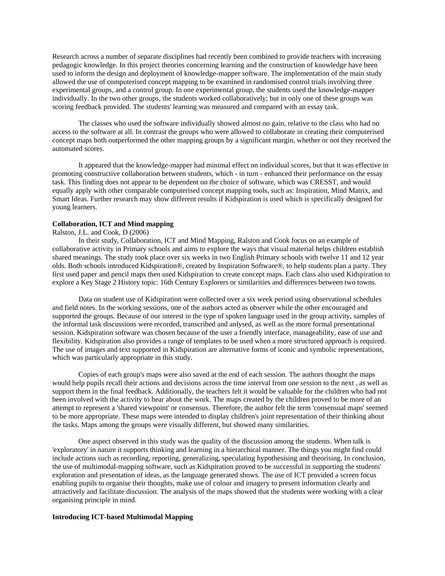Research across a number of separate disciplines had recently been combined to provide teachers with increasing pedagogic knowledge. In this project theories concerning learning and the construction of knowledge have been used to inform the design and deployment of knowledge-mapper software. The implementation of the main study allowed the use of computerised concept mapping to be examined in randomised control trials involving three experimental groups, and a control group. In one experimental group, the students used the knowledge-mapper individually. In the two other groups, the students worked collaboratively; but in only one of these groups was scoring feedback provided. The students' learning was measured and compared with an essay task.

The classes who used the software individually showed almost no gain, relative to the class who had no access to the software at all. In contrast the groups who were allowed to collaborate in creating their computerised concept maps both outperformed the other mapping groups by a significant margin, whether or not they received the automated scores.

It appeared that the knowledge-mapper had minimal effect on individual scores, but that it was effective in promoting constructive collaboration between students, which - in turn - enhanced their performance on the essay task. This finding does not appear to be dependent on the choice of software, which was CRESST, and would equally apply with other comparable computerised concept mapping tools, such as: Inspiration, Mind Matrix, and Smart Ideas. Further research may show different results if Kidspiration is used which is specifically designed for young learners.

## **Collaboration, ICT and Mind mapping**

## Ralston, J.L. and Cook, D (2006)

In their study, Collaboration, ICT and Mind Mapping, Ralston and Cook focus on an example of collaborative activity in Primary schools and aims to explore the ways that visual material helps children establish shared meanings. The study took place over six weeks in two English Primary schools with twelve 11 and 12 year olds. Both schools introduced Kidspiration®, created by Inspiration Software®, to help students plan a party. They first used paper and pencil maps then used Kidspiration to create concept maps. Each class also used Kidspiration to explore a Key Stage 2 History topic: 16th Century Explorers or similarities and differences between two towns.

Data on student use of Kidspiration were collected over a six week period using observational schedules and field notes. In the working sessions, one of the authors acted as observer while the other encouraged and supported the groups. Because of our interest in the type of spoken language used in the group activity, samples of the informal task discussions were recorded, transcribed and anlysed, as well as the more formal presentational session. Kidspiration software was chosen because of the user a friendly interface, manageability, ease of use and flexibility. Kidspiration also provides a range of templates to be used when a more structured approach is required. The use of images and text supported in Kidspiration are alternative forms of iconic and symbolic representations, which was particularly appropriate in this study.

Copies of each group's maps were also saved at the end of each session. The authors thought the maps would help pupils recall their actions and decisions across the time interval from one session to the next , as well as support them in the final feedback. Additionally, the teachers felt it would be valuable for the children who had not been involved with the activity to hear about the work. The maps created by the children proved to be more of an attempt to represent a 'shared viewpoint' or consensus. Therefore, the author felt the term 'consensual maps' seemed to be more appropriate. These maps were intended to display children's joint representation of their thinking about the tasks. Maps among the groups were visually different, but showed many similarities.

One aspect observed in this study was the quality of the discussion among the students. When talk is 'exploratory' in nature it supports thinking and learning in a hierarchical manner. The things you might find could include actions such as recording, reporting, generalizing, speculating hypothesising and theorising. In conclusion, the use of multimodal-mapping software, such as Kidspiration proved to be successful in supporting the students' exploration and presentation of ideas, as the language generated shows. The use of ICT provided a screen focus enabling pupils to organise their thoughts, make use of colour and imagery to present information clearly and attractively and facilitate discussion. The analysis of the maps showed that the students were working with a clear organising principle in mind.

#### **Introducing ICT-based Multimodal Mapping**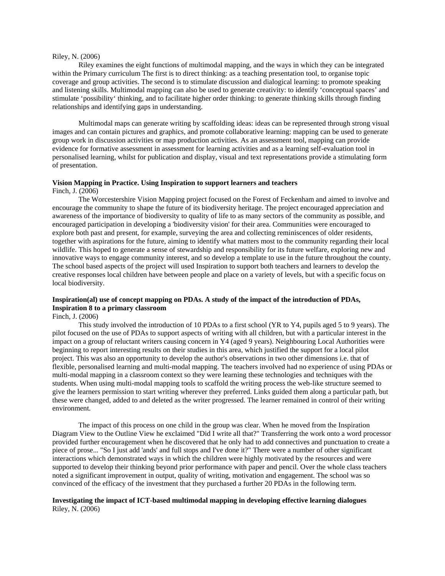#### Riley, N. (2006)

Riley examines the eight functions of multimodal mapping, and the ways in which they can be integrated within the Primary curriculum The first is to direct thinking: as a teaching presentation tool, to organise topic coverage and group activities. The second is to stimulate discussion and dialogical learning: to promote speaking and listening skills. Multimodal mapping can also be used to generate creativity: to identify 'conceptual spaces' and stimulate 'possibility' thinking, and to facilitate higher order thinking: to generate thinking skills through finding relationships and identifying gaps in understanding.

Multimodal maps can generate writing by scaffolding ideas: ideas can be represented through strong visual images and can contain pictures and graphics, and promote collaborative learning: mapping can be used to generate group work in discussion activities or map production activities. As an assessment tool, mapping can provide evidence for formative assessment in assessment for learning activities and as a learning self-evaluation tool in personalised learning, whilst for publication and display, visual and text representations provide a stimulating form of presentation.

## **Vision Mapping in Practice. Using Inspiration to support learners and teachers**

Finch, J. (2006)

The Worcestershire Vision Mapping project focused on the Forest of Feckenham and aimed to involve and encourage the community to shape the future of its biodiversity heritage. The project encouraged appreciation and awareness of the importance of biodiversity to quality of life to as many sectors of the community as possible, and encouraged participation in developing a 'biodiversity vision' for their area. Communities were encouraged to explore both past and present, for example, surveying the area and collecting reminiscences of older residents, together with aspirations for the future, aiming to identify what matters most to the community regarding their local wildlife. This hoped to generate a sense of stewardship and responsibility for its future welfare, exploring new and innovative ways to engage community interest, and so develop a template to use in the future throughout the county. The school based aspects of the project will used Inspiration to support both teachers and learners to develop the creative responses local children have between people and place on a variety of levels, but with a specific focus on local biodiversity.

## **Inspiration(al) use of concept mapping on PDAs. A study of the impact of the introduction of PDAs, Inspiration 8 to a primary classroom**

Finch, J. (2006)

This study involved the introduction of 10 PDAs to a first school (YR to Y4, pupils aged 5 to 9 years). The pilot focused on the use of PDAs to support aspects of writing with all children, but with a particular interest in the impact on a group of reluctant writers causing concern in Y4 (aged 9 years). Neighbouring Local Authorities were beginning to report interesting results on their studies in this area, which justified the support for a local pilot project. This was also an opportunity to develop the author's observations in two other dimensions i.e. that of flexible, personalised learning and multi-modal mapping. The teachers involved had no experience of using PDAs or multi-modal mapping in a classroom context so they were learning these technologies and techniques with the students. When using multi-modal mapping tools to scaffold the writing process the web-like structure seemed to give the learners permission to start writing wherever they preferred. Links guided them along a particular path, but these were changed, added to and deleted as the writer progressed. The learner remained in control of their writing environment.

The impact of this process on one child in the group was clear. When he moved from the Inspiration Diagram View to the Outline View he exclaimed "Did I write all that?" Transferring the work onto a word processor provided further encouragement when he discovered that he only had to add connectives and punctuation to create a piece of prose... "So I just add 'ands' and full stops and I've done it?" There were a number of other significant interactions which demonstrated ways in which the children were highly motivated by the resources and were supported to develop their thinking beyond prior performance with paper and pencil. Over the whole class teachers noted a significant improvement in output, quality of writing, motivation and engagement. The school was so convinced of the efficacy of the investment that they purchased a further 20 PDAs in the following term.

## **Investigating the impact of ICT-based multimodal mapping in developing effective learning dialogues** Riley, N. (2006)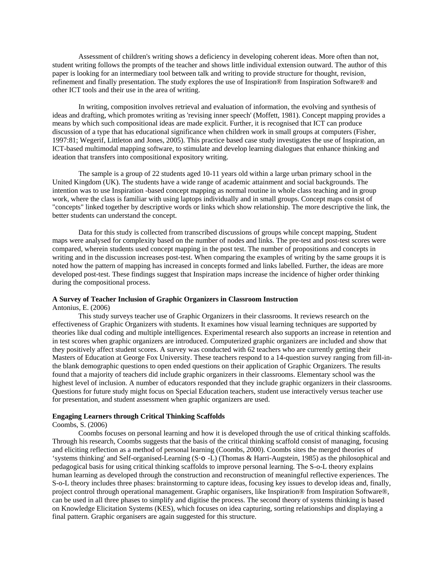Assessment of children's writing shows a deficiency in developing coherent ideas. More often than not, student writing follows the prompts of the teacher and shows little individual extension outward. The author of this paper is looking for an intermediary tool between talk and writing to provide structure for thought, revision, refinement and finally presentation. The study explores the use of Inspiration® from Inspiration Software® and other ICT tools and their use in the area of writing.

In writing, composition involves retrieval and evaluation of information, the evolving and synthesis of ideas and drafting, which promotes writing as 'revising inner speech' (Moffett, 1981). Concept mapping provides a means by which such compositional ideas are made explicit. Further, it is recognised that ICT can produce discussion of a type that has educational significance when children work in small groups at computers (Fisher, 1997:81; Wegerif, Littleton and Jones, 2005). This practice based case study investigates the use of Inspiration, an ICT-based multimodal mapping software, to stimulate and develop learning dialogues that enhance thinking and ideation that transfers into compositional expository writing.

The sample is a group of 22 students aged 10-11 years old within a large urban primary school in the United Kingdom (UK). The students have a wide range of academic attainment and social backgrounds. The intention was to use Inspiration -based concept mapping as normal routine in whole class teaching and in group work, where the class is familiar with using laptops individually and in small groups. Concept maps consist of "concepts" linked together by descriptive words or links which show relationship. The more descriptive the link, the better students can understand the concept.

Data for this study is collected from transcribed discussions of groups while concept mapping, Student maps were analysed for complexity based on the number of nodes and links. The pre-test and post-test scores were compared, wherein students used concept mapping in the post test. The number of propositions and concepts in writing and in the discussion increases post-test. When comparing the examples of writing by the same groups it is noted how the pattern of mapping has increased in concepts formed and links labelled. Further, the ideas are more developed post-test. These findings suggest that Inspiration maps increase the incidence of higher order thinking during the compositional process.

# **A Survey of Teacher Inclusion of Graphic Organizers in Classroom Instruction**

Antonius, E. (2006)

This study surveys teacher use of Graphic Organizers in their classrooms. It reviews research on the effectiveness of Graphic Organizers with students. It examines how visual learning techniques are supported by theories like dual coding and multiple intelligences. Experimental research also supports an increase in retention and in test scores when graphic organizers are introduced. Computerized graphic organizers are included and show that they positively affect student scores. A survey was conducted with 62 teachers who are currently getting their Masters of Education at George Fox University. These teachers respond to a 14-question survey ranging from fill-inthe blank demographic questions to open ended questions on their application of Graphic Organizers. The results found that a majority of teachers did include graphic organizers in their classrooms. Elementary school was the highest level of inclusion. A number of educators responded that they include graphic organizers in their classrooms. Questions for future study might focus on Special Education teachers, student use interactively versus teacher use for presentation, and student assessment when graphic organizers are used.

#### **Engaging Learners through Critical Thinking Scaffolds**

## Coombs, S. (2006)

Coombs focuses on personal learning and how it is developed through the use of critical thinking scaffolds. Through his research, Coombs suggests that the basis of the critical thinking scaffold consist of managing, focusing and eliciting reflection as a method of personal learning (Coombs, 2000). Coombs sites the merged theories of 'systems thinking' and Self-organised-Learning (S‑o -L) (Thomas & Harri-Augstein, 1985) as the philosophical and pedagogical basis for using critical thinking scaffolds to improve personal learning. The S-o-L theory explains human learning as developed through the construction and reconstruction of meaningful reflective experiences. The S-o-L theory includes three phases: brainstorming to capture ideas, focusing key issues to develop ideas and, finally, project control through operational management. Graphic organisers, like Inspiration® from Inspiration Software®, can be used in all three phases to simplify and digitise the process. The second theory of systems thinking is based on Knowledge Elicitation Systems (KES), which focuses on idea capturing, sorting relationships and displaying a final pattern. Graphic organisers are again suggested for this structure.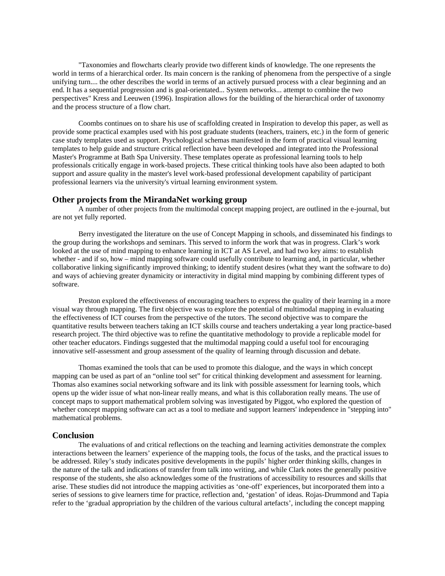"Taxonomies and flowcharts clearly provide two different kinds of knowledge. The one represents the world in terms of a hierarchical order. Its main concern is the ranking of phenomena from the perspective of a single unifying turn.... the other describes the world in terms of an actively pursued process with a clear beginning and an end. It has a sequential progression and is goal-orientated... System networks... attempt to combine the two perspectives" Kress and Leeuwen (1996). Inspiration allows for the building of the hierarchical order of taxonomy and the process structure of a flow chart.

Coombs continues on to share his use of scaffolding created in Inspiration to develop this paper, as well as provide some practical examples used with his post graduate students (teachers, trainers, etc.) in the form of generic case study templates used as support. Psychological schemas manifested in the form of practical visual learning templates to help guide and structure critical reflection have been developed and integrated into the Professional Master's Programme at Bath Spa University. These templates operate as professional learning tools to help professionals critically engage in work-based projects. These critical thinking tools have also been adapted to both support and assure quality in the master's level work-based professional development capability of participant professional learners via the university's virtual learning environment system.

## **Other projects from the MirandaNet working group**

A number of other projects from the multimodal concept mapping project, are outlined in the e-journal, but are not yet fully reported.

Berry investigated the literature on the use of Concept Mapping in schools, and disseminated his findings to the group during the workshops and seminars. This served to inform the work that was in progress. Clark's work looked at the use of mind mapping to enhance learning in ICT at AS Level, and had two key aims: to establish whether - and if so, how – mind mapping software could usefully contribute to learning and, in particular, whether collaborative linking significantly improved thinking; to identify student desires (what they want the software to do) and ways of achieving greater dynamicity or interactivity in digital mind mapping by combining different types of software.

Preston explored the effectiveness of encouraging teachers to express the quality of their learning in a more visual way through mapping. The first objective was to explore the potential of multimodal mapping in evaluating the effectiveness of ICT courses from the perspective of the tutors. The second objective was to compare the quantitative results between teachers taking an ICT skills course and teachers undertaking a year long practice-based research project. The third objective was to refine the quantitative methodology to provide a replicable model for other teacher educators. Findings suggested that the multimodal mapping could a useful tool for encouraging innovative self-assessment and group assessment of the quality of learning through discussion and debate.

Thomas examined the tools that can be used to promote this dialogue, and the ways in which concept mapping can be used as part of an "online tool set" for critical thinking development and assessment for learning. Thomas also examines social networking software and its link with possible assessment for learning tools, which opens up the wider issue of what non-linear really means, and what is this collaboration really means. The use of concept maps to support mathematical problem solving was investigated by Piggot, who explored the question of whether concept mapping software can act as a tool to mediate and support learners' independence in "stepping into" mathematical problems.

#### **Conclusion**

The evaluations of and critical reflections on the teaching and learning activities demonstrate the complex interactions between the learners' experience of the mapping tools, the focus of the tasks, and the practical issues to be addressed. Riley's study indicates positive developments in the pupils' higher order thinking skills, changes in the nature of the talk and indications of transfer from talk into writing, and while Clark notes the generally positive response of the students, she also acknowledges some of the frustrations of accessibility to resources and skills that arise. These studies did not introduce the mapping activities as 'one-off' experiences, but incorporated them into a series of sessions to give learners time for practice, reflection and, 'gestation' of ideas. Rojas-Drummond and Tapia refer to the 'gradual appropriation by the children of the various cultural artefacts', including the concept mapping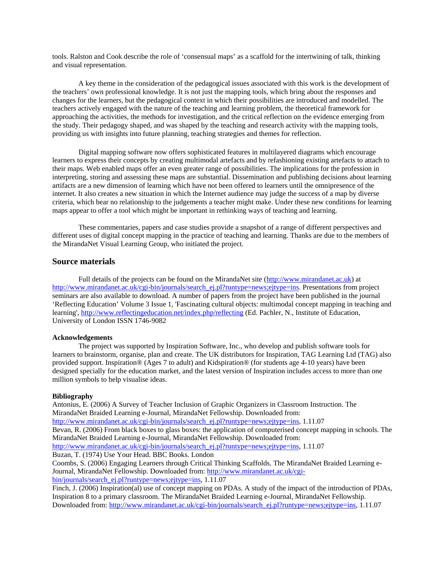tools. Ralston and Cook describe the role of 'consensual maps' as a scaffold for the intertwining of talk, thinking and visual representation.

A key theme in the consideration of the pedagogical issues associated with this work is the development of the teachers' own professional knowledge. It is not just the mapping tools, which bring about the responses and changes for the learners, but the pedagogical context in which their possibilities are introduced and modelled. The teachers actively engaged with the nature of the teaching and learning problem, the theoretical framework for approaching the activities, the methods for investigation, and the critical reflection on the evidence emerging from the study. Their pedagogy shaped, and was shaped by the teaching and research activity with the mapping tools, providing us with insights into future planning, teaching strategies and themes for reflection.

Digital mapping software now offers sophisticated features in multilayered diagrams which encourage learners to express their concepts by creating multimodal artefacts and by refashioning existing artefacts to attach to their maps. Web enabled maps offer an even greater range of possibilities. The implications for the profession in interpreting, storing and assessing these maps are substantial. Dissemination and publishing decisions about learning artifacts are a new dimension of learning which have not been offered to learners until the omnipresence of the internet. It also creates a new situation in which the Internet audience may judge the success of a map by diverse criteria, which bear no relationship to the judgements a teacher might make. Under these new conditions for learning maps appear to offer a tool which might be important in rethinking ways of teaching and learning.

These commentaries, papers and case studies provide a snapshot of a range of different perspectives and different uses of digital concept mapping in the practice of teaching and learning. Thanks are due to the members of the MirandaNet Visual Learning Group, who initiated the project.

## **Source materials**

Full details of the projects can be found on the MirandaNet site [\(http://www.mirandanet.ac.uk\)](http://www.mirandanet.ac.uk/) at [http://www.mirandanet.ac.uk/cgi-bin/journals/search\\_ej.pl?runtype=news;ejtype=ins.](http://www.mirandanet.ac.uk/cgi-bin/journals/search_ej.pl?runtype=news;ejtype=ins) Presentations from project seminars are also available to download. A number of papers from the project have been published in the journal 'Reflecting Education' Volume 3 Issue 1, 'Fascinating cultural objects: multimodal concept mapping in teaching and learning'[, http://www.reflectingeducation.net/index.php/reflecting](http://www.reflectingeducation.net/index.php/reflecting) (Ed. Pachler, N., Institute of Education, University of London ISSN 1746-9082

#### **Acknowledgements**

The project was supported by Inspiration Software, Inc., who develop and publish software tools for learners to brainstorm, organise, plan and create. The UK distributors for Inspiration, TAG Learning Ltd (TAG) also provided support. Inspiration® (Ages 7 to adult) and Kidspiration® (for students age 4-10 years) have been designed specially for the education market, and the latest version of Inspiration includes access to more than one million symbols to help visualise ideas.

## **Bibliography**

Antonius, E. (2006) A Survey of Teacher Inclusion of Graphic Organizers in Classroom Instruction. The MirandaNet Braided Learning e-Journal, MirandaNet Fellowship. Downloaded from: [http://www.mirandanet.ac.uk/cgi-bin/journals/search\\_ej.pl?runtype=news;ejtype=ins,](http://www.mirandanet.ac.uk/cgi-bin/journals/search_ej.pl?runtype=news;ejtype=ins) 1.11.07 Bevan, R. (2006) From black boxes to glass boxes: the application of computerised concept mapping in schools. The MirandaNet Braided Learning e-Journal, MirandaNet Fellowship. Downloaded from: [http://www.mirandanet.ac.uk/cgi-bin/journals/search\\_ej.pl?runtype=news;ejtype=ins,](http://www.mirandanet.ac.uk/cgi-bin/journals/search_ej.pl?runtype=news;ejtype=ins) 1.11.07 Buzan, T. (1974) Use Your Head. BBC Books. London Coombs, S. (2006) Engaging Learners through Critical Thinking Scaffolds. The MirandaNet Braided Learning e-Journal, MirandaNet Fellowship. Downloaded from: [http://www.mirandanet.ac.uk/cgi](http://www.mirandanet.ac.uk/cgi-bin/journals/search_ej.pl?runtype=news;ejtype=ins)[bin/journals/search\\_ej.pl?runtype=news;ejtype=ins,](http://www.mirandanet.ac.uk/cgi-bin/journals/search_ej.pl?runtype=news;ejtype=ins) 1.11.07 Finch, J. (2006) Inspiration(al) use of concept mapping on PDAs. A study of the impact of the introduction of PDAs, Inspiration 8 to a primary classroom. The MirandaNet Braided Learning e-Journal, MirandaNet Fellowship.

Downloaded from: [http://www.mirandanet.ac.uk/cgi-bin/journals/search\\_ej.pl?runtype=news;ejtype=ins,](http://www.mirandanet.ac.uk/cgi-bin/journals/search_ej.pl?runtype=news;ejtype=ins) 1.11.07